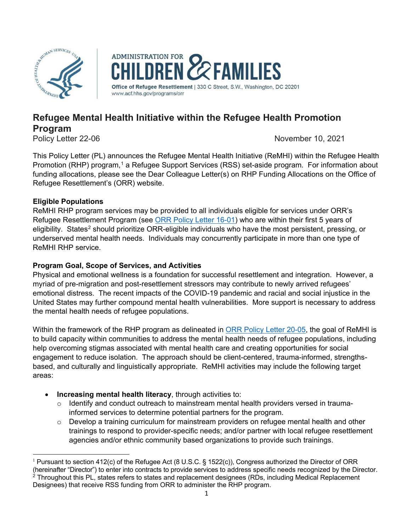



# **Refugee Mental Health Initiative within the Refugee Health Promotion Program**

Policy Letter 22-06 *November 10, 2021 November 10, 2021* 

This Policy Letter (PL) announces the Refugee Mental Health Initiative (ReMHI) within the Refugee Health Promotion (RHP) program,<sup>[1](#page-0-0)</sup> a Refugee Support Services (RSS) set-aside program. For information about funding allocations, please see the Dear Colleague Letter(s) on RHP Funding Allocations on the Office of Refugee Resettlement's (ORR) website.

# **Eligible Populations**

ReMHI RHP program services may be provided to all individuals eligible for services under ORR's Refugee Resettlement Program (see [ORR Policy Letter 16-01\)](https://www.acf.hhs.gov/orr/policy-guidance/documentation-requirements-refugee-resettlement-program) who are within their first 5 years of eligibility. States<sup>[2](#page-0-1)</sup> should prioritize ORR-eligible individuals who have the most persistent, pressing, or underserved mental health needs. Individuals may concurrently participate in more than one type of ReMHI RHP service.

# **Program Goal, Scope of Services, and Activities**

Physical and emotional wellness is a foundation for successful resettlement and integration. However, a myriad of pre-migration and post-resettlement stressors may contribute to newly arrived refugees' emotional distress. The recent impacts of the COVID-19 pandemic and racial and social injustice in the United States may further compound mental health vulnerabilities. More support is necessary to address the mental health needs of refugee populations.

Within the framework of the RHP program as delineated in [ORR Policy Letter 20-05,](https://www.acf.hhs.gov/sites/default/files/documents/orr/pl_20_05_rhp_transitions_to_rss6_1.pdf) the goal of ReMHI is to build capacity within communities to address the mental health needs of refugee populations, including help overcoming stigmas associated with mental health care and creating opportunities for social engagement to reduce isolation. The approach should be client-centered, trauma-informed, strengthsbased, and culturally and linguistically appropriate. ReMHI activities may include the following target areas:

- **Increasing mental health literacy**, through activities to:
	- $\circ$  Identify and conduct outreach to mainstream mental health providers versed in traumainformed services to determine potential partners for the program.
	- $\circ$  Develop a training curriculum for mainstream providers on refugee mental health and other trainings to respond to provider-specific needs; and/or partner with local refugee resettlement agencies and/or ethnic community based organizations to provide such trainings.

<span id="page-0-1"></span><span id="page-0-0"></span><sup>&</sup>lt;sup>1</sup> Pursuant to section 412(c) of the Refugee Act (8 U.S.C. § 1522(c)), Congress authorized the Director of ORR (hereinafter "Director") to enter into contracts to provide services to address specific needs recognized by the Director.<br><sup>2</sup> Throughout this PL, states refers to states and replacement designees (PDs, including Medical P <sup>2</sup> Throughout this PL, states refers to states and replacement designees (RDs, including Medical Replacement Designees) that receive RSS funding from ORR to administer the RHP program.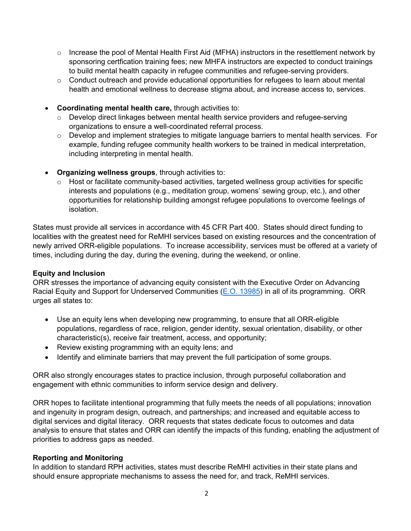- $\circ$  Increase the pool of Mental Health First Aid (MFHA) instructors in the resettlement network by sponsoring certfication training fees; new MHFA instructors are expected to conduct trainings to build mental health capacity in refugee communities and refugee-serving providers.
- o Conduct outreach and provide educational opportunities for refugees to learn about mental health and emotional wellness to decrease stigma about, and increase access to, services.
- **Coordinating mental health care,** through activities to:
	- o Develop direct linkages between mental health service providers and refugee-serving organizations to ensure a well-coordinated referral process.
	- $\circ$  Develop and implement strategies to mitigate language barriers to mental health services. For example, funding refugee community health workers to be trained in medical interpretation, including interpreting in mental health.
- **Organizing wellness groups**, through activities to:
	- $\circ$  Host or facilitate community-based activities, targeted wellness group activities for specific interests and populations (e.g., meditation group, womens' sewing group, etc.), and other opportunities for relationship building amongst refugee populations to overcome feelings of isolation.

States must provide all services in accordance with 45 CFR Part 400. States should direct funding to localities with the greatest need for ReMHI services based on existing resources and the concentration of newly arrived ORR-eligible populations. To increase accessibility, services must be offered at a variety of times, including during the day, during the evening, during the weekend, or online.

## **Equity and Inclusion**

ORR stresses the importance of advancing equity consistent with the Executive Order on Advancing Racial Equity and Support for Underserved Communities [\(E.O. 13985\)](https://www.whitehouse.gov/briefing-room/presidential-actions/2021/01/20/executive-order-advancing-racial-equity-and-support-for-underserved-communities-through-the-federal-government/) in all of its programming. ORR urges all states to:

- Use an equity lens when developing new programming, to ensure that all ORR-eligible populations, regardless of race, religion, gender identity, sexual orientation, disability, or other characteristic(s), receive fair treatment, access, and opportunity;
- Review existing programming with an equity lens; and
- Identify and eliminate barriers that may prevent the full participation of some groups.

ORR also strongly encourages states to practice inclusion, through purposeful collaboration and engagement with ethnic communities to inform service design and delivery.

ORR hopes to facilitate intentional programming that fully meets the needs of all populations; innovation and ingenuity in program design, outreach, and partnerships; and increased and equitable access to digital services and digital literacy. ORR requests that states dedicate focus to outcomes and data analysis to ensure that states and ORR can identify the impacts of this funding, enabling the adjustment of priorities to address gaps as needed.

### **Reporting and Monitoring**

In addition to standard RPH activities, states must describe ReMHI activities in their state plans and should ensure appropriate mechanisms to assess the need for, and track, ReMHI services.